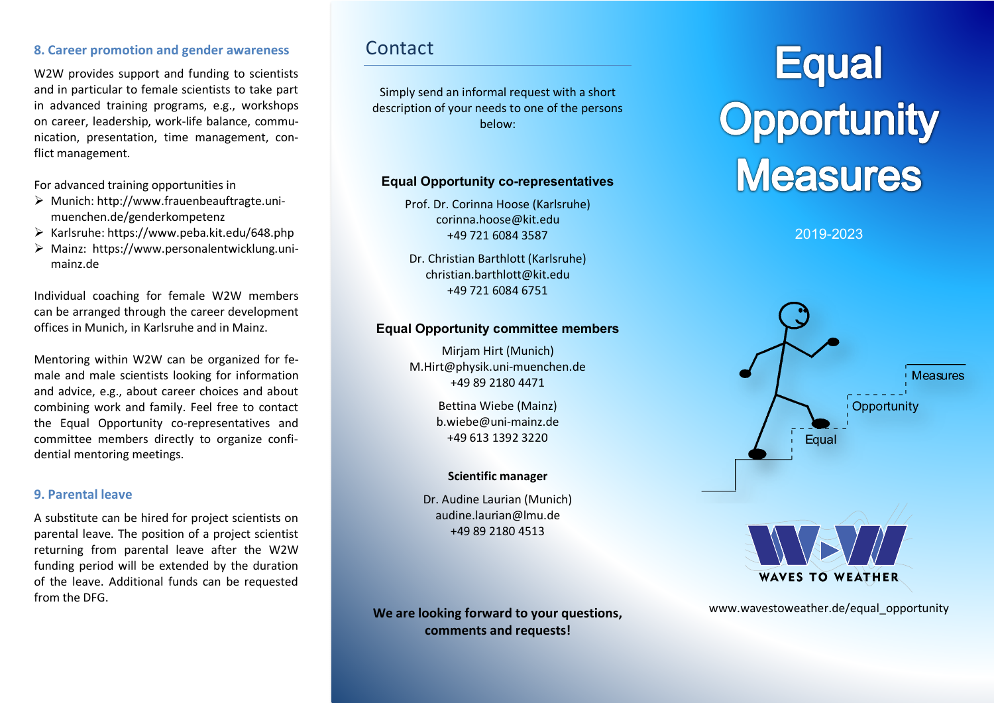#### **8. Career promotion and gender awareness**

W2W provides support and funding to scientists and in particular to female scientists to take part in advanced training programs, e.g., workshops on career, leadership, work-life balance, communication, presentation, time management, conflict management.

For advanced training opportunities in

- $\triangleright$  Munich: http://www.frauenbeauftragte.unimuenchen.de/genderkompetenz
- Ø Karlsruhe: https://www.peba.kit.edu/648.php
- Ø Mainz: https://www.personalentwicklung.unimainz.de

Individual coaching for female W2W members can be arranged through the career development offices in Munich, in Karlsruhe and in Mainz.

Mentoring within W2W can be organized for female and male scientists looking for information and advice, e.g., about career choices and about combining work and family. Feel free to contact the Equal Opportunity co-representatives and committee members directly to organize confidential mentoring meetings.

#### **9. Parental leave**

A substitute can be hired for project scientists on parental leave. The position of a project scientist returning from parental leave after the W2W funding period will be extended by the duration of the leave. Additional funds can be requested from the DFG.

## Contact

Simply send an informal request with a short description of your needs to one of the persons below:

#### **Equal Opportunity co-representatives**

Prof. Dr. Corinna Hoose (Karlsruhe) corinna.hoose@kit.edu +49 721 6084 3587

Dr. Christian Barthlott (Karlsruhe) christian.barthlott@kit.edu +49 721 6084 6751

#### **Equal Opportunity committee members**

Mirjam Hirt (Munich) M.Hirt@physik.uni-muenchen.de +49 89 2180 4471

> Bettina Wiebe (Mainz) b.wiebe@uni-mainz.de +49 613 1392 3220

#### **Scientific manager**

Dr. Audine Laurian (Munich) audine.laurian@lmu.de +49 89 2180 4513

**We are looking forward to your questions, comments and requests!**

# **Equal Opportunity<br>Measures**

2019-2023



www.wavestoweather.de/equal\_opportunity